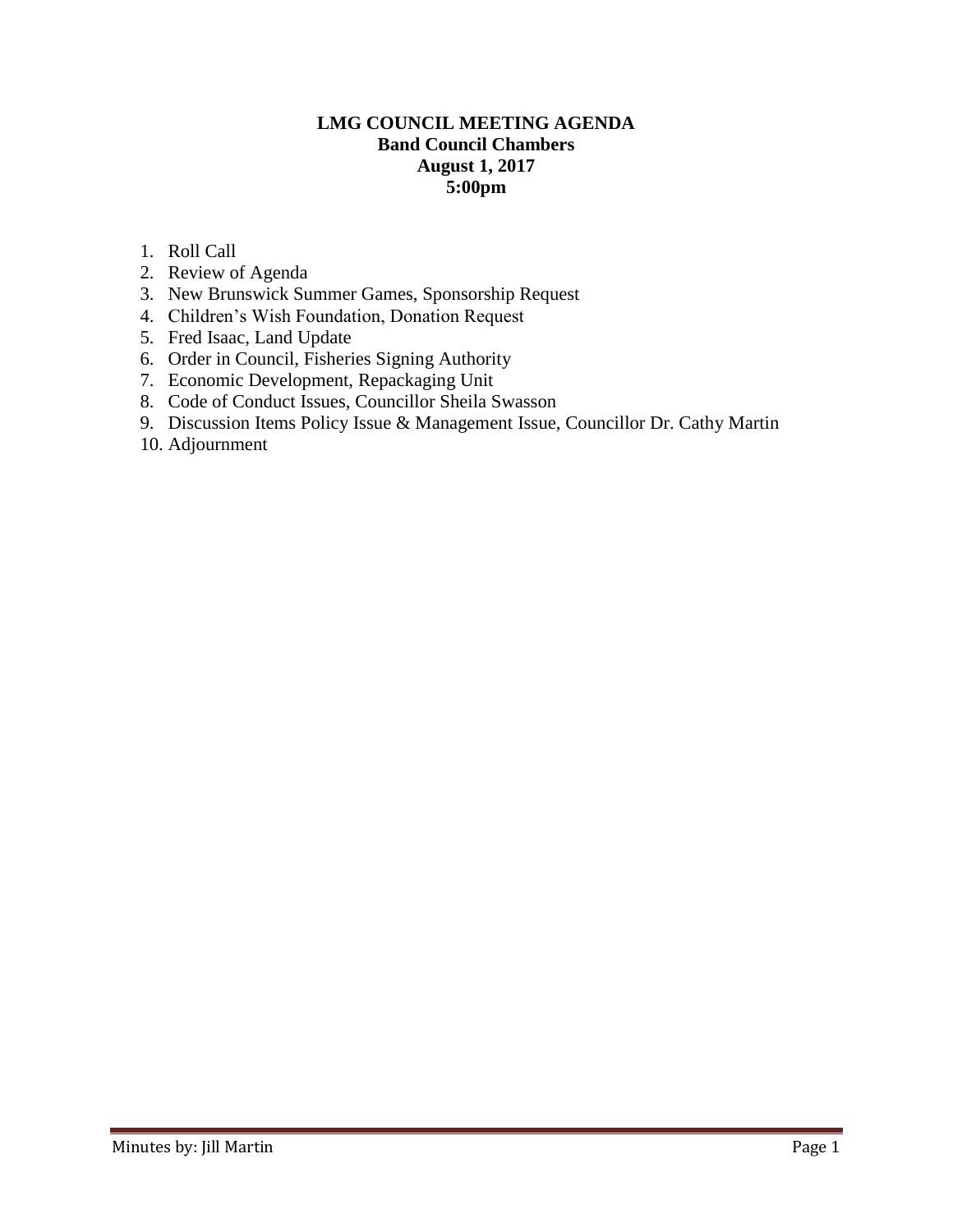### **LMG COUNCIL MEETING AGENDA Band Council Chambers August 1, 2017 5:00pm**

- 1. Roll Call
- 2. Review of Agenda
- 3. New Brunswick Summer Games, Sponsorship Request
- 4. Children's Wish Foundation, Donation Request
- 5. Fred Isaac, Land Update
- 6. Order in Council, Fisheries Signing Authority
- 7. Economic Development, Repackaging Unit
- 8. Code of Conduct Issues, Councillor Sheila Swasson
- 9. Discussion Items Policy Issue & Management Issue, Councillor Dr. Cathy Martin
- 10. Adjournment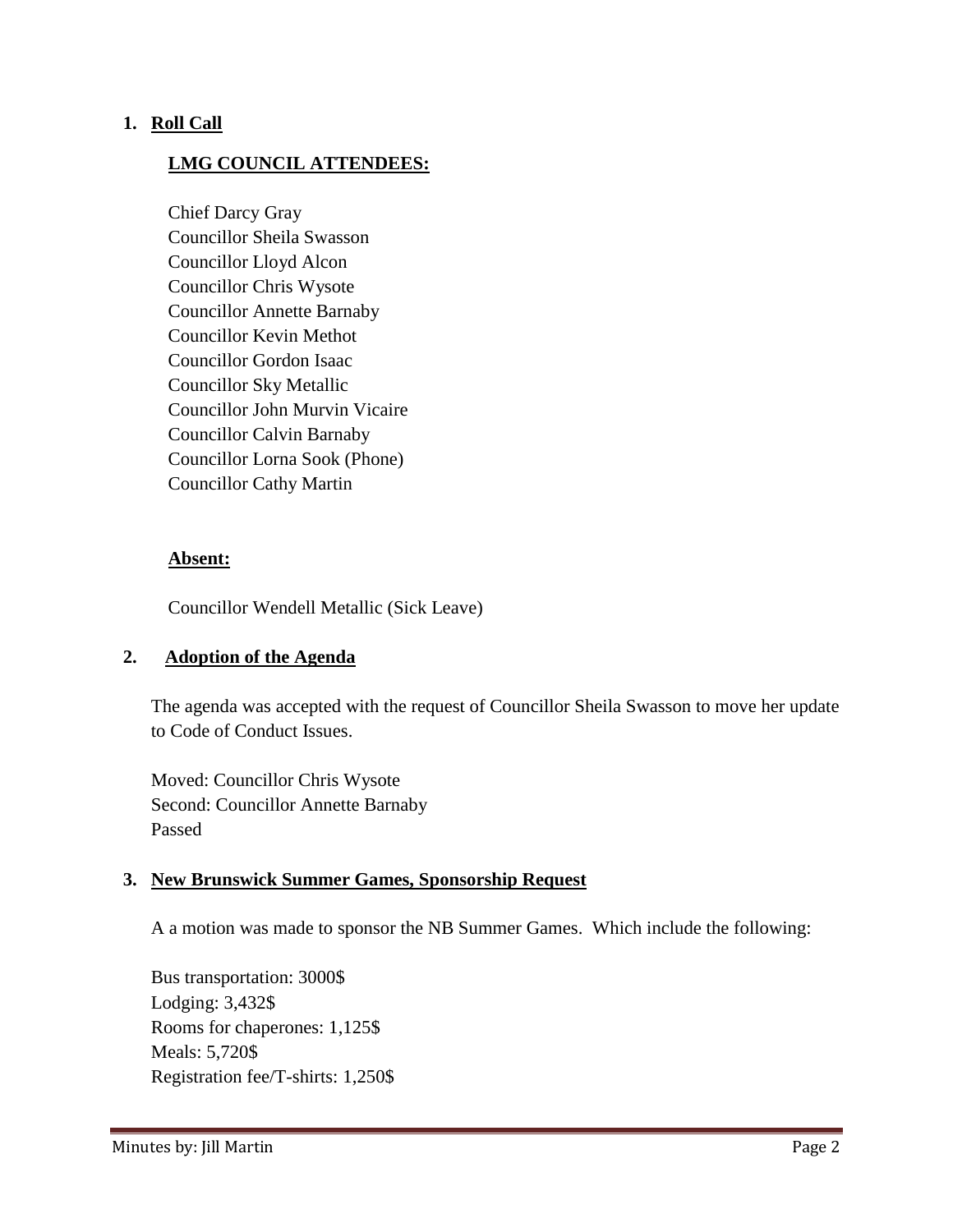### **1. Roll Call**

### **LMG COUNCIL ATTENDEES:**

Chief Darcy Gray Councillor Sheila Swasson Councillor Lloyd Alcon Councillor Chris Wysote Councillor Annette Barnaby Councillor Kevin Methot Councillor Gordon Isaac Councillor Sky Metallic Councillor John Murvin Vicaire Councillor Calvin Barnaby Councillor Lorna Sook (Phone) Councillor Cathy Martin

#### **Absent:**

Councillor Wendell Metallic (Sick Leave)

### **2. Adoption of the Agenda**

The agenda was accepted with the request of Councillor Sheila Swasson to move her update to Code of Conduct Issues.

Moved: Councillor Chris Wysote Second: Councillor Annette Barnaby Passed

#### **3. New Brunswick Summer Games, Sponsorship Request**

A a motion was made to sponsor the NB Summer Games. Which include the following:

Bus transportation: 3000\$ Lodging: 3,432\$ Rooms for chaperones: 1,125\$ Meals: 5,720\$ Registration fee/T-shirts: 1,250\$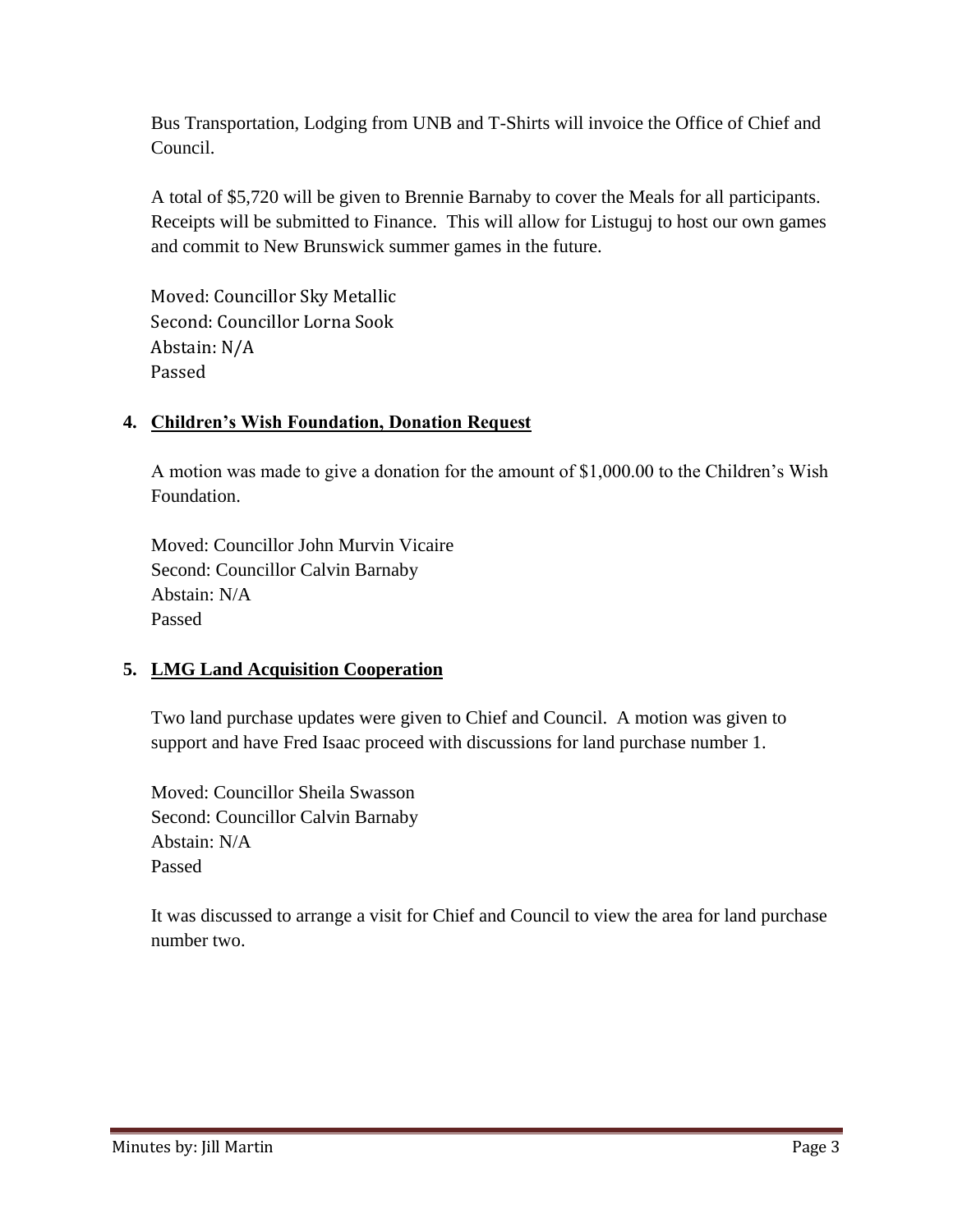Bus Transportation, Lodging from UNB and T-Shirts will invoice the Office of Chief and Council.

A total of \$5,720 will be given to Brennie Barnaby to cover the Meals for all participants. Receipts will be submitted to Finance. This will allow for Listuguj to host our own games and commit to New Brunswick summer games in the future.

Moved: Councillor Sky Metallic Second: Councillor Lorna Sook Abstain: N/A Passed

# **4. Children's Wish Foundation, Donation Request**

A motion was made to give a donation for the amount of \$1,000.00 to the Children's Wish Foundation.

Moved: Councillor John Murvin Vicaire Second: Councillor Calvin Barnaby Abstain: N/A Passed

# **5. LMG Land Acquisition Cooperation**

Two land purchase updates were given to Chief and Council. A motion was given to support and have Fred Isaac proceed with discussions for land purchase number 1.

Moved: Councillor Sheila Swasson Second: Councillor Calvin Barnaby Abstain: N/A Passed

It was discussed to arrange a visit for Chief and Council to view the area for land purchase number two.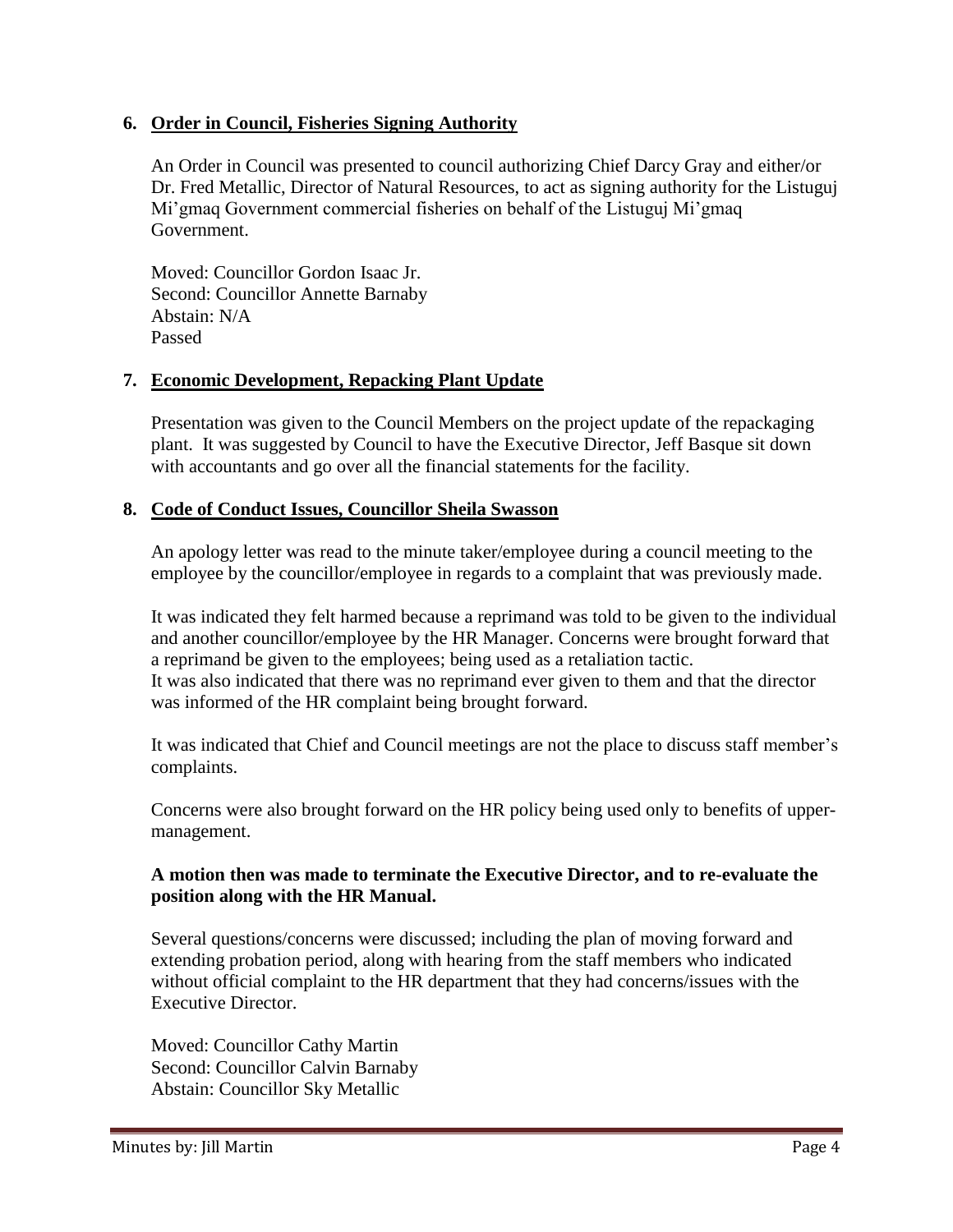### **6. Order in Council, Fisheries Signing Authority**

An Order in Council was presented to council authorizing Chief Darcy Gray and either/or Dr. Fred Metallic, Director of Natural Resources, to act as signing authority for the Listuguj Mi'gmaq Government commercial fisheries on behalf of the Listuguj Mi'gmaq Government.

Moved: Councillor Gordon Isaac Jr. Second: Councillor Annette Barnaby Abstain: N/A Passed

### **7. Economic Development, Repacking Plant Update**

Presentation was given to the Council Members on the project update of the repackaging plant. It was suggested by Council to have the Executive Director, Jeff Basque sit down with accountants and go over all the financial statements for the facility.

### **8. Code of Conduct Issues, Councillor Sheila Swasson**

An apology letter was read to the minute taker/employee during a council meeting to the employee by the councillor/employee in regards to a complaint that was previously made.

It was indicated they felt harmed because a reprimand was told to be given to the individual and another councillor/employee by the HR Manager. Concerns were brought forward that a reprimand be given to the employees; being used as a retaliation tactic. It was also indicated that there was no reprimand ever given to them and that the director was informed of the HR complaint being brought forward.

It was indicated that Chief and Council meetings are not the place to discuss staff member's complaints.

Concerns were also brought forward on the HR policy being used only to benefits of uppermanagement.

### **A motion then was made to terminate the Executive Director, and to re-evaluate the position along with the HR Manual.**

Several questions/concerns were discussed; including the plan of moving forward and extending probation period, along with hearing from the staff members who indicated without official complaint to the HR department that they had concerns/issues with the Executive Director.

Moved: Councillor Cathy Martin Second: Councillor Calvin Barnaby Abstain: Councillor Sky Metallic